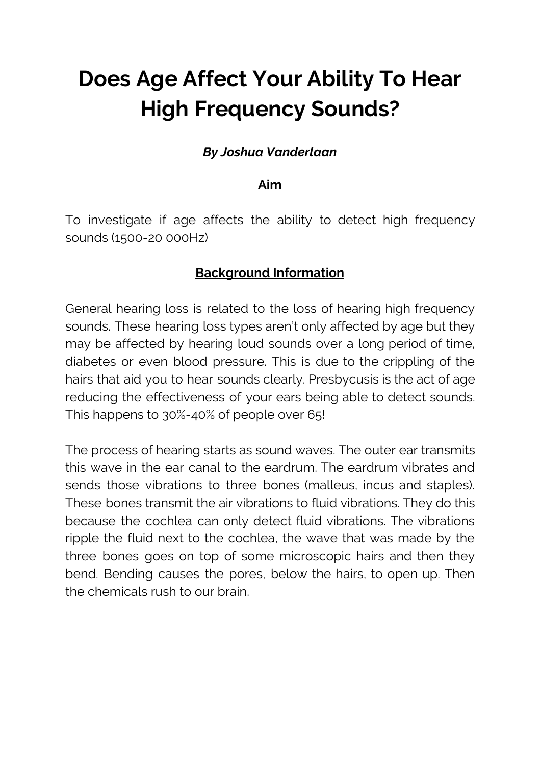# **Does Age Affect Your Ability To Hear High Frequency Sounds?**

#### *By Joshua Vanderlaan*

#### **Aim**

To investigate if age affects the ability to detect high frequency sounds (1500-20 000Hz)

#### **Background Information**

General hearing loss is related to the loss of hearing high frequency sounds. These hearing loss types aren't only affected by age but they may be affected by hearing loud sounds over a long period of time, diabetes or even blood pressure. This is due to the crippling of the hairs that aid you to hear sounds clearly. Presbycusis is the act of age reducing the effectiveness of your ears being able to detect sounds. This happens to 30%-40% of people over 65!

The process of hearing starts as sound waves. The outer ear transmits this wave in the ear canal to the eardrum. The eardrum vibrates and sends those vibrations to three bones (malleus, incus and staples). These bones transmit the air vibrations to fluid vibrations. They do this because the cochlea can only detect fluid vibrations. The vibrations ripple the fluid next to the cochlea, the wave that was made by the three bones goes on top of some microscopic hairs and then they bend. Bending causes the pores, below the hairs, to open up. Then the chemicals rush to our brain.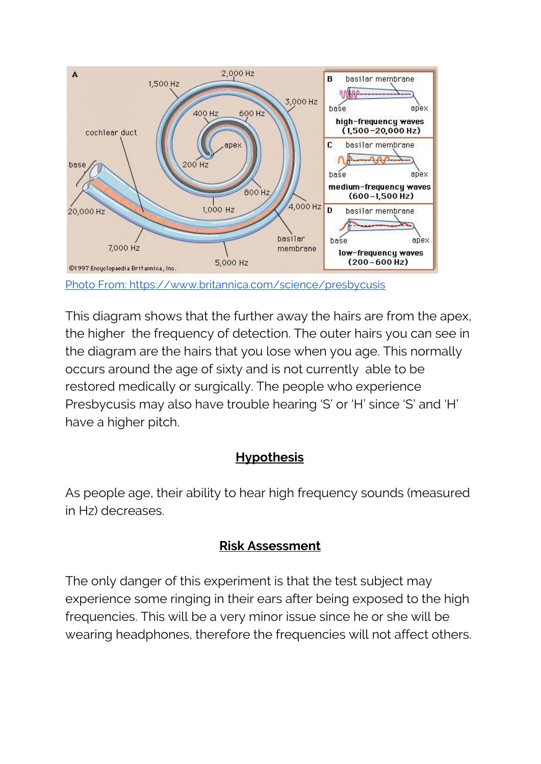

This diagram shows that the further away the hairs are from the apex, the higher the frequency of detection. The outer hairs you can see in the diagram are the hairs that you lose when you age. This normally occurs around the age of sixty and is not currently able to be restored medically or surgically. The people who experience Presbycusis may also have trouble hearing 'S' or 'H' since 'S' and 'H' have a higher pitch.

# **Hypothesis**

As people age, their ability to hear high frequency sounds (measured in Hz) decreases.

# **Risk Assessment**

The only danger of this experiment is that the test subject may experience some ringing in their ears after being exposed to the high frequencies. This will be a very minor issue since he or she will be wearing headphones, therefore the frequencies will not affect others.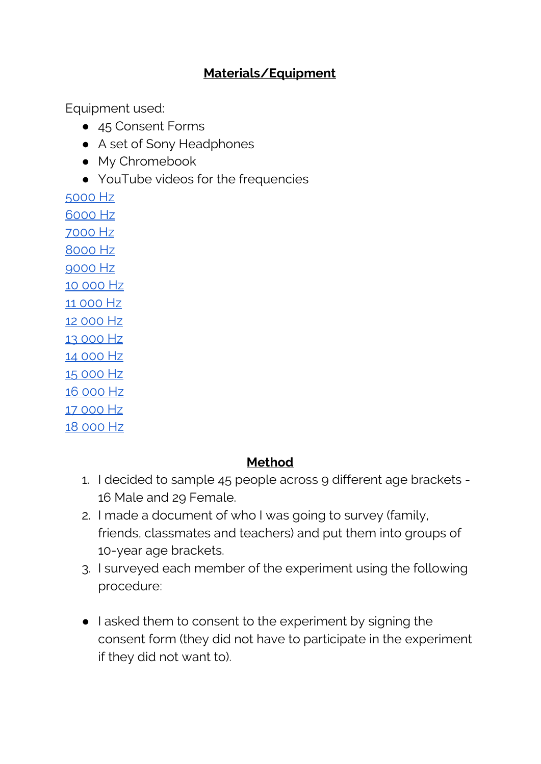#### **Materials/Equipment**

Equipment used:

- 45 Consent Forms
- A set of Sony Headphones
- My Chromebook
- YouTube videos for the frequencies

# **Method**

- 1. I decided to sample 45 people across 9 different age brackets 16 Male and 29 Female.
- 2. I made a document of who I was going to survey (family, friends, classmates and teachers) and put them into groups of 10-year age brackets.
- 3. I surveyed each member of the experiment using the following procedure:
- lasked them to consent to the experiment by signing the consent form (they did not have to participate in the experiment if they did not want to).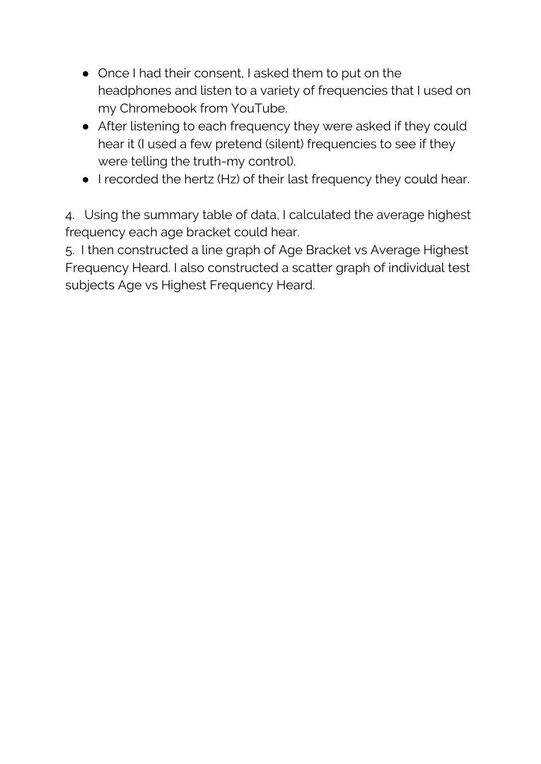- Once I had their consent, I asked them to put on the headphones and listen to a variety of frequencies that I used on my Chromebook from YouTube.
- After listening to each frequency they were asked if they could hear it (I used a few pretend (silent) frequencies to see if they were telling the truth-my control).
- I recorded the hertz (Hz) of their last frequency they could hear.

4. Using the summary table of data, I calculated the average highest frequency each age bracket could hear.

5. I then constructed a line graph of Age Bracket vs Average Highest Frequency Heard. I also constructed a scatter graph of individual test subjects Age vs Highest Frequency Heard.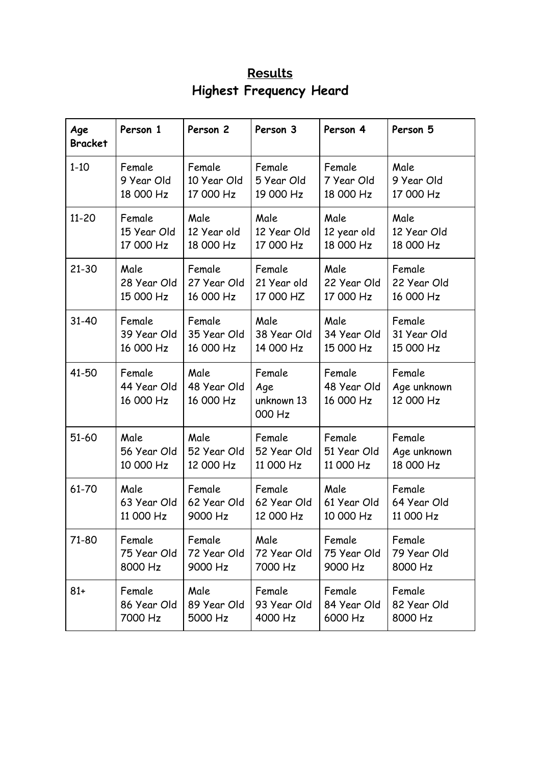# **Results Highest Frequency Heard**

| Age<br><b>Bracket</b> | Person 1                           | Person 2                         | Person 3                              | Person 4                           | Person 5                           |
|-----------------------|------------------------------------|----------------------------------|---------------------------------------|------------------------------------|------------------------------------|
| $1 - 10$              | Female                             | Female                           | Female                                | Female                             | Male                               |
|                       | 9 Year Old                         | 10 Year Old                      | 5 Year Old                            | 7 Year Old                         | 9 Year Old                         |
|                       | 18 000 Hz                          | 17 000 Hz                        | 19 000 Hz                             | 18 000 Hz                          | 17 000 Hz                          |
| $11 - 20$             | Female                             | Male                             | Male                                  | Male                               | Male                               |
|                       | 15 Year Old                        | 12 Year old                      | 12 Year Old                           | 12 year old                        | 12 Year Old                        |
|                       | 17 000 Hz                          | 18 000 Hz                        | 17 000 Hz                             | 18 000 Hz                          | 18 000 Hz                          |
| $21 - 30$             | Male                               | Female                           | Female                                | Male                               | Female                             |
|                       | 28 Year Old                        | 27 Year Old                      | 21 Year old                           | 22 Year Old                        | 22 Year Old                        |
|                       | 15 000 Hz                          | 16 000 Hz                        | 17 000 HZ                             | 17 000 Hz                          | 16 000 Hz                          |
| 31-40                 | Female                             | Female                           | Male                                  | Male                               | Female                             |
|                       | 39 Year Old                        | 35 Year Old                      | 38 Year Old                           | 34 Year Old                        | 31 Year Old                        |
|                       | 16 000 Hz                          | 16 000 Hz                        | 14 000 Hz                             | 15 000 Hz                          | 15 000 Hz                          |
| 41-50                 | Female<br>44 Year Old<br>16 000 Hz | Male<br>48 Year Old<br>16 000 Hz | Female<br>Age<br>unknown 13<br>000 Hz | Female<br>48 Year Old<br>16 000 Hz | Female<br>Age unknown<br>12 000 Hz |
| 51-60                 | Male                               | Male                             | Female                                | Female                             | Female                             |
|                       | 56 Year Old                        | 52 Year Old                      | 52 Year Old                           | 51 Year Old                        | Age unknown                        |
|                       | 10 000 Hz                          | 12 000 Hz                        | 11 000 Hz                             | 11 000 Hz                          | 18 000 Hz                          |
| 61-70                 | Male                               | Female                           | Female                                | Male                               | Female                             |
|                       | 63 Year Old                        | 62 Year Old                      | 62 Year Old                           | 61 Year Old                        | 64 Year Old                        |
|                       | 11 000 Hz                          | 9000 Hz                          | 12 000 Hz                             | 10 000 Hz                          | 11 000 Hz                          |
| 71-80                 | Female                             | Female                           | Male                                  | Female                             | Female                             |
|                       | 75 Year Old                        | 72 Year Old                      | 72 Year Old                           | 75 Year Old                        | 79 Year Old                        |
|                       | 8000 Hz                            | 9000 Hz                          | 7000 Hz                               | 9000 Hz                            | 8000 Hz                            |
| $81+$                 | Female                             | Male                             | Female                                | Female                             | Female                             |
|                       | 86 Year Old                        | 89 Year Old                      | 93 Year Old                           | 84 Year Old                        | 82 Year Old                        |
|                       | 7000 Hz                            | 5000 Hz                          | 4000 Hz                               | 6000 Hz                            | 8000 Hz                            |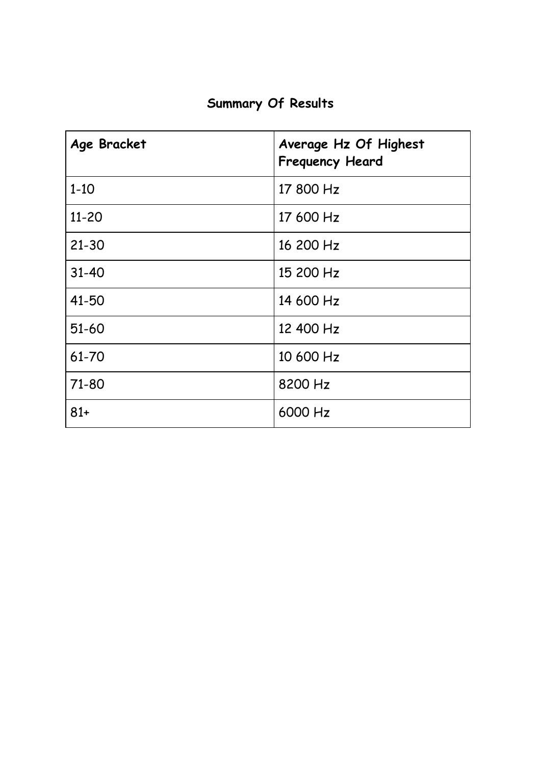| <b>Summary Of Results</b> |  |  |
|---------------------------|--|--|
|---------------------------|--|--|

| Age Bracket | Average Hz Of Highest<br><b>Frequency Heard</b> |
|-------------|-------------------------------------------------|
| $1 - 10$    | 17 800 Hz                                       |
| $11 - 20$   | 17 600 Hz                                       |
| $21 - 30$   | 16 200 Hz                                       |
| $31 - 40$   | 15 200 Hz                                       |
| 41-50       | 14 600 Hz                                       |
| 51-60       | 12 400 Hz                                       |
| 61-70       | 10 600 Hz                                       |
| 71-80       | 8200 Hz                                         |
| $81+$       | 6000 Hz                                         |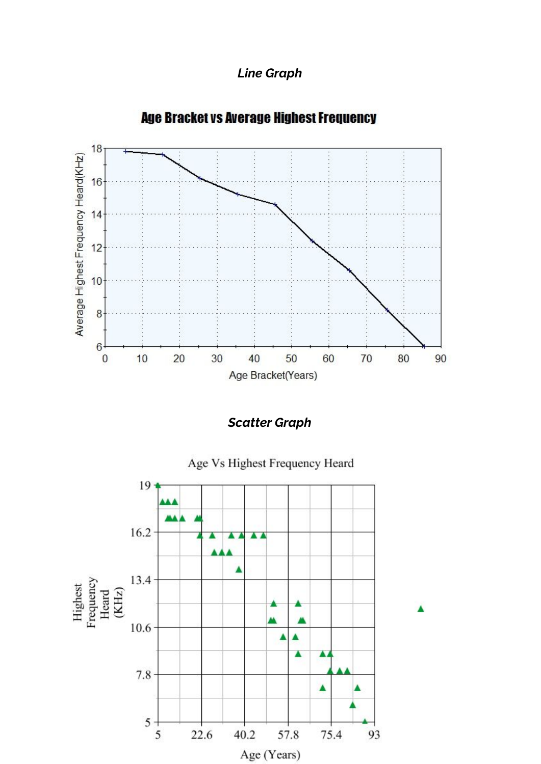*Line Graph*



**Age Bracket vs Average Highest Frequency** 

*Scatter Graph*

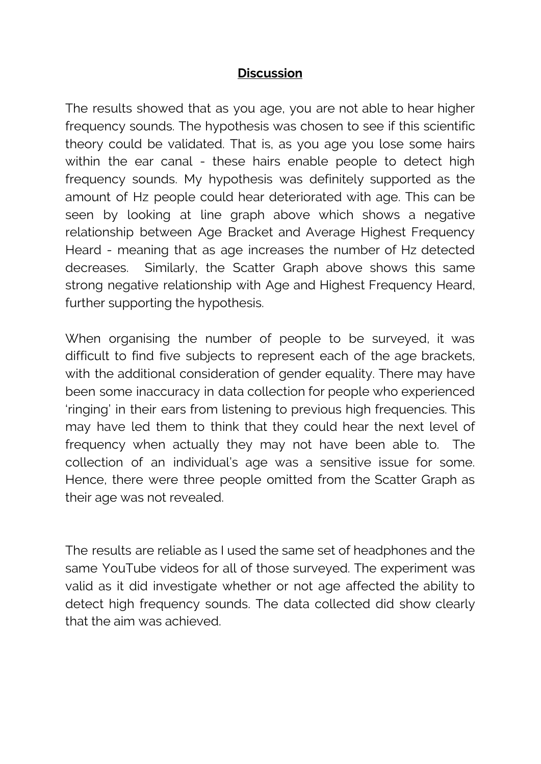#### **Discussion**

The results showed that as you age, you are not able to hear higher frequency sounds. The hypothesis was chosen to see if this scientific theory could be validated. That is, as you age you lose some hairs within the ear canal - these hairs enable people to detect high frequency sounds. My hypothesis was definitely supported as the amount of Hz people could hear deteriorated with age. This can be seen by looking at line graph above which shows a negative relationship between Age Bracket and Average Highest Frequency Heard - meaning that as age increases the number of Hz detected decreases. Similarly, the Scatter Graph above shows this same strong negative relationship with Age and Highest Frequency Heard, further supporting the hypothesis.

When organising the number of people to be surveyed, it was difficult to find five subjects to represent each of the age brackets, with the additional consideration of gender equality. There may have been some inaccuracy in data collection for people who experienced 'ringing' in their ears from listening to previous high frequencies. This may have led them to think that they could hear the next level of frequency when actually they may not have been able to. The collection of an individual's age was a sensitive issue for some. Hence, there were three people omitted from the Scatter Graph as their age was not revealed.

The results are reliable as I used the same set of headphones and the same YouTube videos for all of those surveyed. The experiment was valid as it did investigate whether or not age affected the ability to detect high frequency sounds. The data collected did show clearly that the aim was achieved.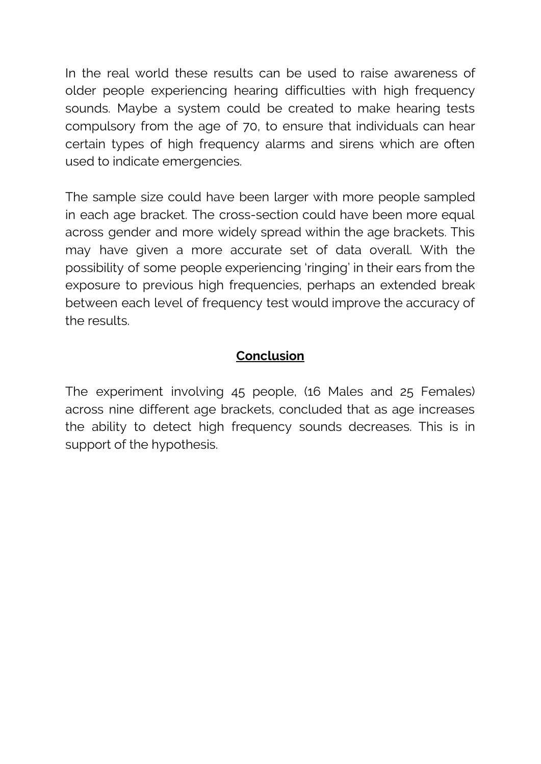In the real world these results can be used to raise awareness of older people experiencing hearing difficulties with high frequency sounds. Maybe a system could be created to make hearing tests compulsory from the age of 70, to ensure that individuals can hear certain types of high frequency alarms and sirens which are often used to indicate emergencies.

The sample size could have been larger with more people sampled in each age bracket. The cross-section could have been more equal across gender and more widely spread within the age brackets. This may have given a more accurate set of data overall. With the possibility of some people experiencing 'ringing' in their ears from the exposure to previous high frequencies, perhaps an extended break between each level of frequency test would improve the accuracy of the results.

#### **Conclusion**

The experiment involving 45 people, (16 Males and 25 Females) across nine different age brackets, concluded that as age increases the ability to detect high frequency sounds decreases. This is in support of the hypothesis.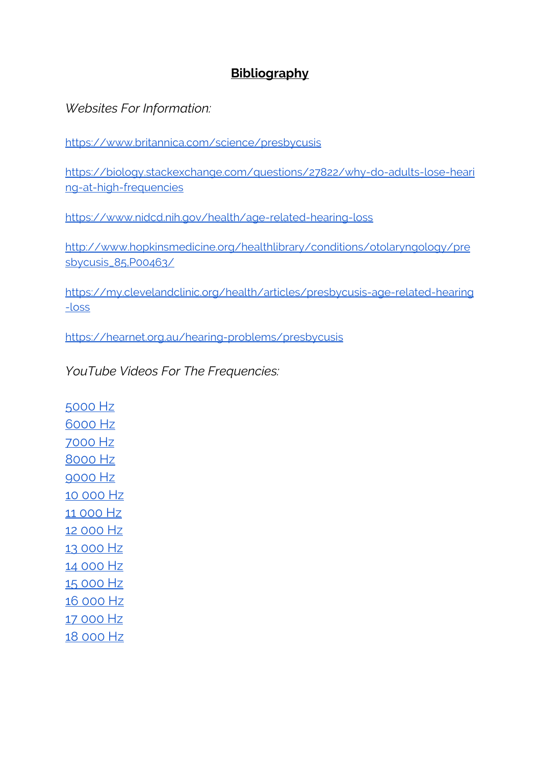# **Bibliography**

*Websites For Information:*

<https://www.britannica.com/science/presbycusis>

[https://biology.stackexchange.com/questions/27822/why-do-adults-lose-heari](https://biology.stackexchange.com/questions/27822/why-do-adults-lose-hearing-at-high-frequencies) [ng-at-high-frequencies](https://biology.stackexchange.com/questions/27822/why-do-adults-lose-hearing-at-high-frequencies)

<https://www.nidcd.nih.gov/health/age-related-hearing-loss>

[http://www.hopkinsmedicine.org/healthlibrary/conditions/otolaryngology/pre](http://www.hopkinsmedicine.org/healthlibrary/conditions/otolaryngology/presbycusis_85,P00463/) [sbycusis\\_85,P00463/](http://www.hopkinsmedicine.org/healthlibrary/conditions/otolaryngology/presbycusis_85,P00463/)

[https://my.clevelandclinic.org/health/articles/presbycusis-age-related-hearing](https://my.clevelandclinic.org/health/articles/presbycusis-age-related-hearing-loss) [-loss](https://my.clevelandclinic.org/health/articles/presbycusis-age-related-hearing-loss)

<https://hearnet.org.au/hearing-problems/presbycusis>

*YouTube Videos For The Frequencies:*